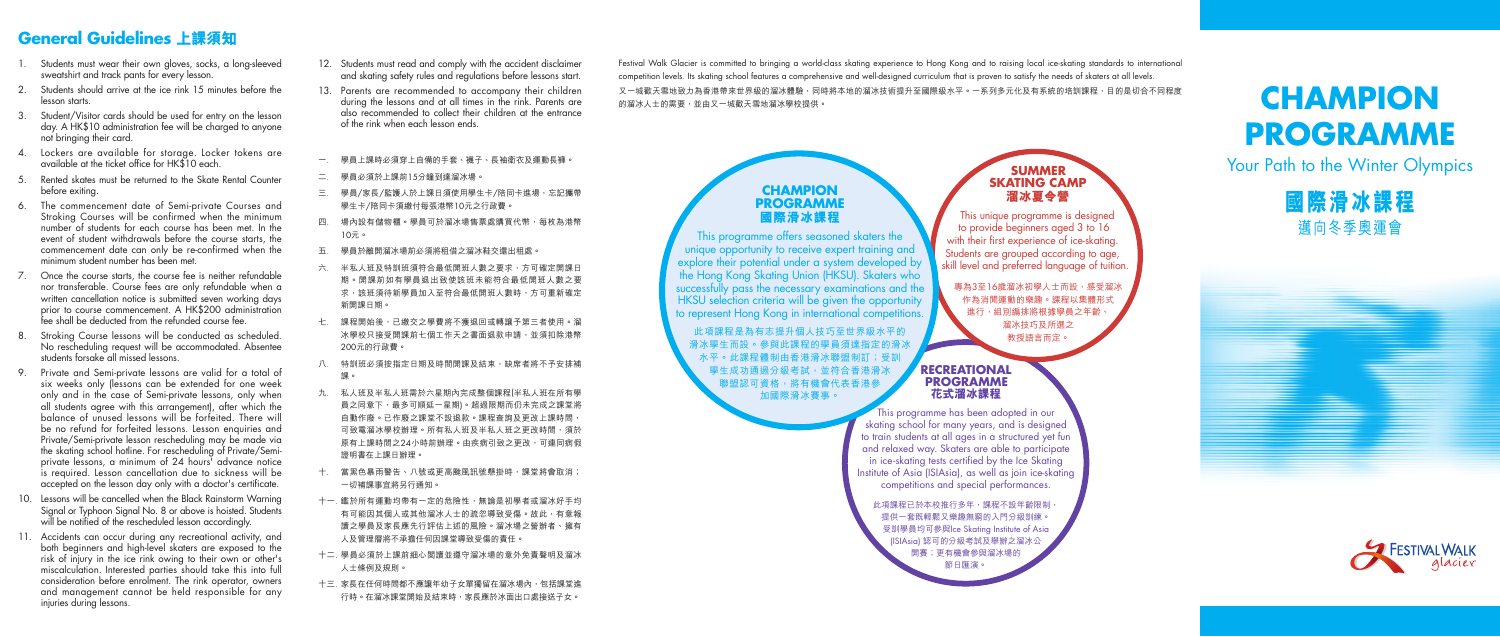#### **SUMMER SKATING CAMP 溜冰夏令營**

This unique programme is designed to provide beginners aged 3 to 16 with their first experience of ice-skating. Students are grouped according to age, skill level and preferred language of tuition.

專為3至16歲溜冰初學人士而設,感受溜冰 作為消閒運動的樂趣。課程以集體形式 進行,組別編排將根據學員之年齡 溜冰技巧及所選之 教授語言而定。

- 1. Students must wear their own gloves, socks, a long-sleeved sweatshirt and track pants for every lesson.
- 2. Students should arrive at the ice rink 15 minutes before the lesson starts.
- 3. Student/Visitor cards should be used for entry on the lesson day. A HK\$10 administration fee will be charged to anyone not bringing their card.
- 4. Lockers are available for storage. Locker tokens are available at the ticket office for  $HK$10$  each.
- 5. Rented skates must be returned to the Skate Rental Counter before exiting.
- 6. The commencement date of Semi-private Courses and Stroking Courses will be confirmed when the minimum number of students for each course has been met. In the event of student withdrawals before the course starts, the commencement date can only be re-confirmed when the minimum student number has been met.
- 7. Once the course starts, the course fee is neither refundable nor transferable. Course fees are only refundable when a written cancellation notice is submitted seven working days prior to course commencement. A HK\$200 administration fee shall be deducted from the refunded course fee.
- 8. Stroking Course lessons will be conducted as scheduled. No rescheduling request will be accommodated. Absentee students forsake all missed lessons.
- 9. Private and Semi-private lessons are valid for a total of six weeks only (lessons can be extended for one week only and in the case of Semi-private lessons, only when all students agree with this arrangement), after which the balance of unused lessons will be forfeited. There will be no refund for forfeited lessons. Lesson enquiries and Private/Semi-private lesson rescheduling may be made via the skating school hotline. For rescheduling of Private/Semiprivate lessons, a minimum of 24 hours' advance notice is required. Lesson cancellation due to sickness will be accepted on the lesson day only with a doctor's certificate.
- 10. Lessons will be cancelled when the Black Rainstorm Warning Signal or Typhoon Signal No. 8 or above is hoisted. Students will be notified of the rescheduled lesson accordinaly.
- 11. Accidents can occur during any recreational activity, and both beginners and high-level skaters are exposed to the risk of injury in the ice rink owing to their own or other's miscalculation. Interested parties should take this into full consideration before enrolment. The rink operator, owners and management cannot be held responsible for any injuries during lessons.

## **General Guidelines 上課須知**

Festival Walk Glacier is committed to bringing a world-class skating experience to Hong Kong and to raising local ice-skating standards to international competition levels. Its skating school features a comprehensive and well-designed curriculum that is proven to satisfy the needs of skaters at all levels. 又一城歡天雪地致力為香港帶來世界級的溜冰體驗,同時將本地的溜冰技術提升至國際級水平。一系列多元化及有系統的培訓課程,目的是切合不同程度<br>的溜冰人士的需要,並由又一城歡天雪地溜冰學校提供。

> 此項課程已於本校推行多年,課程不設年齡限制 提供一套既輕鬆又樂趣無窮的入門分級訓練。 受訓學員均可參與Ice Skating Institute of Asia (ISIAsia) 認可的分級考試及舉辦之溜冰公 開賽;更有機會參與溜冰場的 節日匯演。

- 12. Students must read and comply with the accident disclaimer and skating safety rules and regulations before lessons start.
- 13. Parents are recommended to accompany their children during the lessons and at all times in the rink. Parents are also recommended to collect their children at the entrance of the rink when each lesson ends.
- 一. 學員上課時必須穿上自備的手套、襪子、長袖衛衣及運動長褲。
- 二. 學員必須於上課前15分鐘到達溜冰場。
- 三. 學員/家長/監護人於上課日須使用學生卡/陪同卡進場,忘記攜帶 學生卡/陪同卡須繳付每張港幣10元之行政費。
- 四. 場內設有儲物櫃。學員可於溜冰場售票處購買代幣,每枚為港幣 10元。
- 五. 學員於離開溜冰場前必須將租借之溜冰鞋交還出租處。
- 六. 半私人班及特訓班須符合最低開班人數之要求,方可確定開課日 期。開課前如有學員退出致使該班未能符合最低開班人數之要 求,該班須待新學員加入至符合最低開班人數時,方可重新確定 新開課日期。
- 七. 課程開始後,已繳交之學費將不獲退回或轉讓予第三者使用。溜 冰學校只接受開課前七個工作天之書面退款申請,並須扣除港幣 200元的行政費。
- 八. 特訓班必須按指定日期及時間開課及結束,缺席者將不予安排補 課。
- 九. 私人班及半私人班需於六星期內完成整個課程(半私人班在所有學 員之同意下,最多可順延一星期)。超過限期而仍未完成之課堂將 自動作廢。已作廢之課堂不設退款。課程查詢及更改上課時間, 可致電溜冰學校辦理。所有私人班及半私人班之更改時間,須於 原有上課時間之24小時前辦理。由疾病引致之更改,可連同病假 證明書在上課日辦理。
- 十. 當黑色暴雨警告、八號或更高颱風訊號懸掛時,課堂將會取消; 一切補課事宜將另行通知。
- 十一. 鑑於所有運動均帶有一定的危險性,無論是初學者或溜冰好手均 有可能因其個人或其他溜冰人士的疏忽導致受傷。故此,有意報 讀之學員及家長應先行評估上述的風險。溜冰場之營辦者、擁有 人及管理層將不承擔任何因課堂導致受傷的責任。
- 十二. 學員必須於上課前細心閱讀並遵守溜冰場的意外免責聲明及溜冰 人士條例及規則。
- 十三. 家長在任何時間都不應讓年幼子女單獨留在溜冰場內,包括課堂進 行時。在溜冰課堂開始及結束時,家長應於冰面出口處接送子女。

# **PROGRAMME**

Your Path to the Winter Olympics

**國際滑冰課程** 邁向冬季奧運會



#### **RECREATIONAL PROGRAMME 花式溜冰課程**

This programme has been adopted in our skating school for many years, and is designed to train students at all ages in a structured yet fun and relaxed way. Skaters are able to participate in ice-skating rests certified by the Ice Skating Institute of Asia (ISIAsia), as well as join ice-skating competitions and special performances.

#### **CHAMPION PROGRAMME 國際滑冰課程**

This programme offers seasoned skaters the unique opportunity to receive expert training and explore their potential under a system developed by the Hong Kong Skating Union (HKSU). Skaters who successfully pass the necessary examinations and the HKSU selection criteria will be given the opportunity to represent Hong Kong in international competitions.

此項課程是為有志提升個人技巧至世界級水平的 滑冰學生而設。參與此課程的學員須達指定的滑冰 水平。此課程體制由香港滑冰聯盟制訂;受訓 學生成功通過分級考試,並符合香港滑冰 聯盟認可資格,將有機會代表香港參 加國際滑冰賽事。